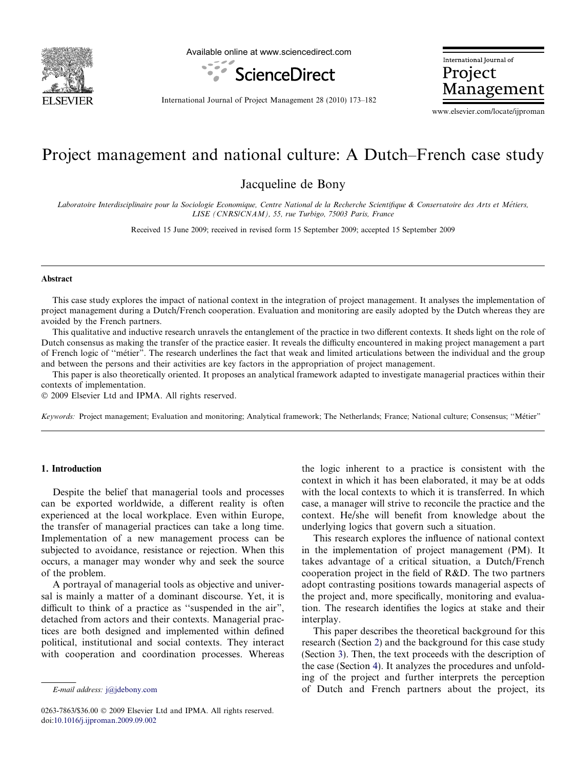

Available online at www.sciencedirect.com



International Journal of Project Management

International Journal of Project Management 28 (2010) 173–182

www.elsevier.com/locate/ijproman

# Project management and national culture: A Dutch–French case study

Jacqueline de Bony

Laboratoire Interdisciplinaire pour la Sociologie Economique, Centre National de la Recherche Scientifique & Conservatoire des Arts et Métiers, LISE (CNRS/CNAM), 55, rue Turbigo, 75003 Paris, France

Received 15 June 2009; received in revised form 15 September 2009; accepted 15 September 2009

#### Abstract

This case study explores the impact of national context in the integration of project management. It analyses the implementation of project management during a Dutch/French cooperation. Evaluation and monitoring are easily adopted by the Dutch whereas they are avoided by the French partners.

This qualitative and inductive research unravels the entanglement of the practice in two different contexts. It sheds light on the role of Dutch consensus as making the transfer of the practice easier. It reveals the difficulty encountered in making project management a part of French logic of ''me´tier". The research underlines the fact that weak and limited articulations between the individual and the group and between the persons and their activities are key factors in the appropriation of project management.

This paper is also theoretically oriented. It proposes an analytical framework adapted to investigate managerial practices within their contexts of implementation.

 $© 2009 Elsevier Ltd and IPMA. All rights reserved.$ 

Keywords: Project management; Evaluation and monitoring; Analytical framework; The Netherlands; France; National culture; Consensus; "Métier"

### 1. Introduction

Despite the belief that managerial tools and processes can be exported worldwide, a different reality is often experienced at the local workplace. Even within Europe, the transfer of managerial practices can take a long time. Implementation of a new management process can be subjected to avoidance, resistance or rejection. When this occurs, a manager may wonder why and seek the source of the problem.

A portrayal of managerial tools as objective and universal is mainly a matter of a dominant discourse. Yet, it is difficult to think of a practice as ''suspended in the air", detached from actors and their contexts. Managerial practices are both designed and implemented within defined political, institutional and social contexts. They interact with cooperation and coordination processes. Whereas

0263-7863/\$36.00 © 2009 Elsevier Ltd and IPMA. All rights reserved. doi:[10.1016/j.ijproman.2009.09.002](http://dx.doi.org/10.1016/j.ijproman.2009.09.002)

the logic inherent to a practice is consistent with the context in which it has been elaborated, it may be at odds with the local contexts to which it is transferred. In which case, a manager will strive to reconcile the practice and the context. He/she will benefit from knowledge about the underlying logics that govern such a situation.

This research explores the influence of national context in the implementation of project management (PM). It takes advantage of a critical situation, a Dutch/French cooperation project in the field of R&D. The two partners adopt contrasting positions towards managerial aspects of the project and, more specifically, monitoring and evaluation. The research identifies the logics at stake and their interplay.

This paper describes the theoretical background for this research (Section [2\)](#page-1-0) and the background for this case study (Section [3](#page--1-0)). Then, the text proceeds with the description of the case (Section [4](#page--1-0)). It analyzes the procedures and unfolding of the project and further interprets the perception of Dutch and French partners about the project, its

E-mail address: [j@jdebony.com](mailto:j@jdebony.com)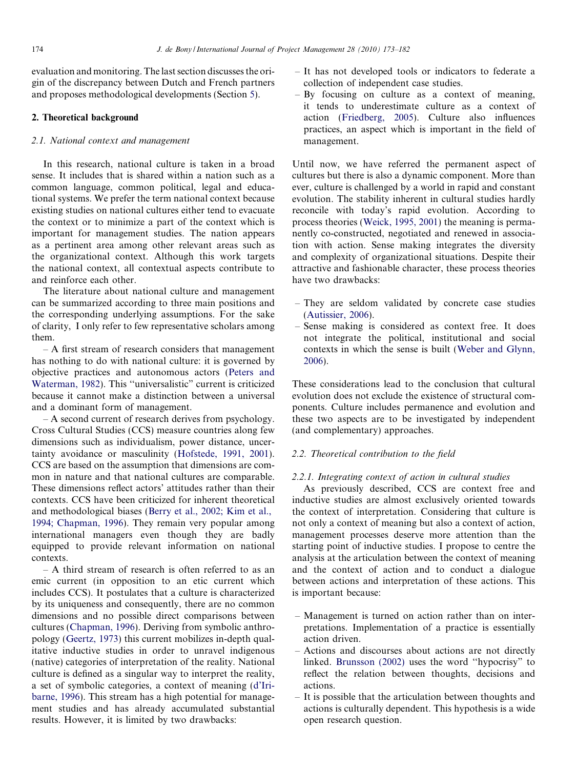<span id="page-1-0"></span>evaluation and monitoring. The last section discusses the origin of the discrepancy between Dutch and French partners and proposes methodological developments (Section [5\)](#page--1-0).

#### 2. Theoretical background

#### 2.1. National context and management

In this research, national culture is taken in a broad sense. It includes that is shared within a nation such as a common language, common political, legal and educational systems. We prefer the term national context because existing studies on national cultures either tend to evacuate the context or to minimize a part of the context which is important for management studies. The nation appears as a pertinent area among other relevant areas such as the organizational context. Although this work targets the national context, all contextual aspects contribute to and reinforce each other.

The literature about national culture and management can be summarized according to three main positions and the corresponding underlying assumptions. For the sake of clarity, I only refer to few representative scholars among them.

– A first stream of research considers that management has nothing to do with national culture: it is governed by objective practices and autonomous actors [\(Peters and](#page--1-0) [Waterman, 1982](#page--1-0)). This ''universalistic" current is criticized because it cannot make a distinction between a universal and a dominant form of management.

– A second current of research derives from psychology. Cross Cultural Studies (CCS) measure countries along few dimensions such as individualism, power distance, uncertainty avoidance or masculinity [\(Hofstede, 1991, 2001\)](#page--1-0). CCS are based on the assumption that dimensions are common in nature and that national cultures are comparable. These dimensions reflect actors' attitudes rather than their contexts. CCS have been criticized for inherent theoretical and methodological biases [\(Berry et al., 2002; Kim et al.,](#page--1-0) [1994; Chapman, 1996](#page--1-0)). They remain very popular among international managers even though they are badly equipped to provide relevant information on national contexts.

– A third stream of research is often referred to as an emic current (in opposition to an etic current which includes CCS). It postulates that a culture is characterized by its uniqueness and consequently, there are no common dimensions and no possible direct comparisons between cultures [\(Chapman, 1996](#page--1-0)). Deriving from symbolic anthropology [\(Geertz, 1973](#page--1-0)) this current mobilizes in-depth qualitative inductive studies in order to unravel indigenous (native) categories of interpretation of the reality. National culture is defined as a singular way to interpret the reality, a set of symbolic categories, a context of meaning ([d'Iri](#page--1-0)[barne, 1996](#page--1-0)). This stream has a high potential for management studies and has already accumulated substantial results. However, it is limited by two drawbacks:

- It has not developed tools or indicators to federate a collection of independent case studies.
- By focusing on culture as a context of meaning, it tends to underestimate culture as a context of action ([Friedberg, 2005\)](#page--1-0). Culture also influences practices, an aspect which is important in the field of management.

Until now, we have referred the permanent aspect of cultures but there is also a dynamic component. More than ever, culture is challenged by a world in rapid and constant evolution. The stability inherent in cultural studies hardly reconcile with today's rapid evolution. According to process theories [\(Weick, 1995, 2001\)](#page--1-0) the meaning is permanently co-constructed, negotiated and renewed in association with action. Sense making integrates the diversity and complexity of organizational situations. Despite their attractive and fashionable character, these process theories have two drawbacks:

- They are seldom validated by concrete case studies ([Autissier, 2006\)](#page--1-0).
- Sense making is considered as context free. It does not integrate the political, institutional and social contexts in which the sense is built ([Weber and Glynn,](#page--1-0) [2006\)](#page--1-0).

These considerations lead to the conclusion that cultural evolution does not exclude the existence of structural components. Culture includes permanence and evolution and these two aspects are to be investigated by independent (and complementary) approaches.

## 2.2. Theoretical contribution to the field

#### 2.2.1. Integrating context of action in cultural studies

As previously described, CCS are context free and inductive studies are almost exclusively oriented towards the context of interpretation. Considering that culture is not only a context of meaning but also a context of action, management processes deserve more attention than the starting point of inductive studies. I propose to centre the analysis at the articulation between the context of meaning and the context of action and to conduct a dialogue between actions and interpretation of these actions. This is important because:

- Management is turned on action rather than on interpretations. Implementation of a practice is essentially action driven.
- Actions and discourses about actions are not directly linked. [Brunsson \(2002\)](#page--1-0) uses the word ''hypocrisy" to reflect the relation between thoughts, decisions and actions.
- It is possible that the articulation between thoughts and actions is culturally dependent. This hypothesis is a wide open research question.